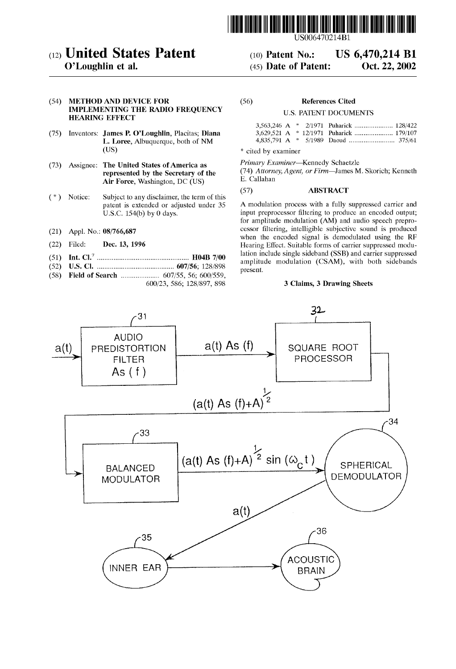

# (12) United States Patent (10) Patent No.: US  $6,470,214$  B1<br>O'Loughlin et al. (45) Date of Patent: Oct. 22, 2002

## (54) METHOD AND DEVICE FOR (56) References Cited IMPLEMENTING THE RADIO FREQUENCY U.S. PATENT DOCUMENTS **HEARING EFFECT**

- (75) Inventors: James P. O'Loughlin, Placitas; Diana L. Loree, Albuquerque, both of NM (US)
- (73) Assignee: The United States of America as  $\frac{Primary\ Examine -$ Kennedy Schaetzle represented by the Secretary of the (74) Attorney, Agent, or Firm-James M. Skorich; Kenneth Air Force Weshington DC (US) E. Callahan Air Force, Washington, DC (US)  $E.$  Callahannes (57)
- (\*) Notice: Subject to any disclaimer, the term of this
- 
- 
- 
- 
- (58) Field of Search ..................... 607/55, 56; 600/559, p

## 600/23, 586; 128/897, 898

 $(45)$  Date of Patent:

\* cited by examiner

## **ABSTRACT**

patent is extended or adjusted under 35 A modulation process with a fully suppressed carrier and U.S.C. 154(b) by 0 days. for amplitude modulation (AM) and audio speech prepro-(21) Appl. No.: 08/766,687 cessor filtering, intelligible subjective sound is produced when the encoded signal is demodulated using the RF (22) Filed: **Dec. 13, 1996** Hearing Effect. Suitable forms of carrier suppressed modu-<br>  $\frac{104P}{2000}$  Hearing Effect. Suitable forms of carrier suppressed modu-7 lation include Single Sideband (SSB) and carrier Suppressed - - - - - - - - - - - - - - - - - - - - - - - - - - - - - - - - - - - - - - - - - - - - - - - - - - amplitude modulation , With both Sidebands s: 'S', O X O -- O - - - - - - - - - - - - - - - - - - - - - - - - - - - - - - - - - - - - - - - - - - "E' s amplitude reSent. modition (SAM), with both sitesand

#### 3 Claims, 3 Drawing Sheets

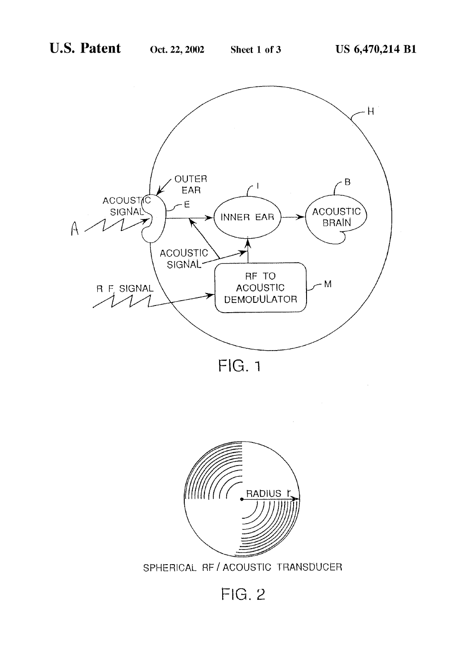

FIG. 1



SPHERICAL RF / ACOUSTIC TRANSDUCER

**FIG. 2**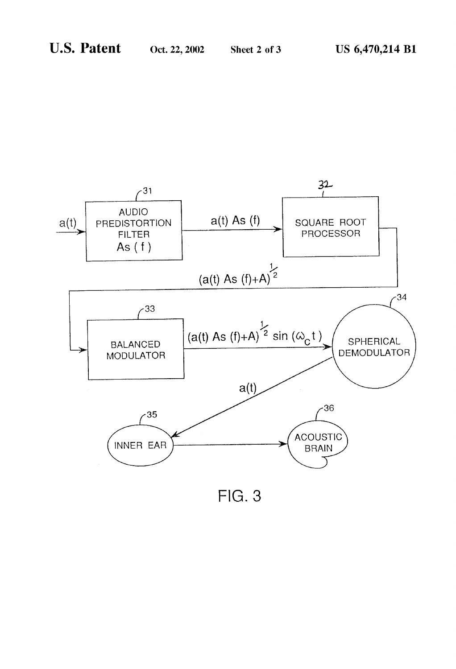

 $FIG. 3$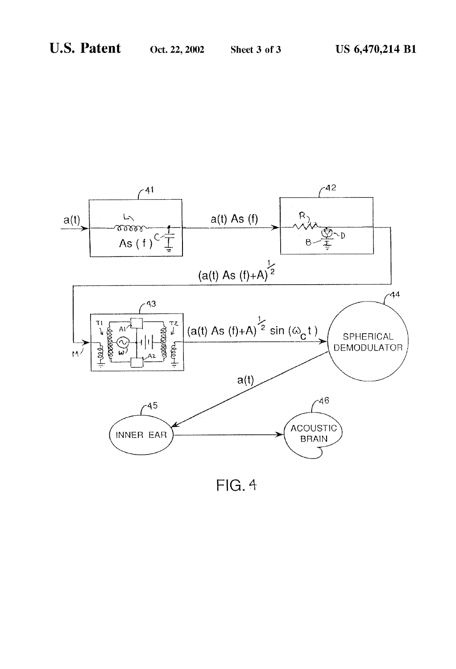

 $FIG. 4$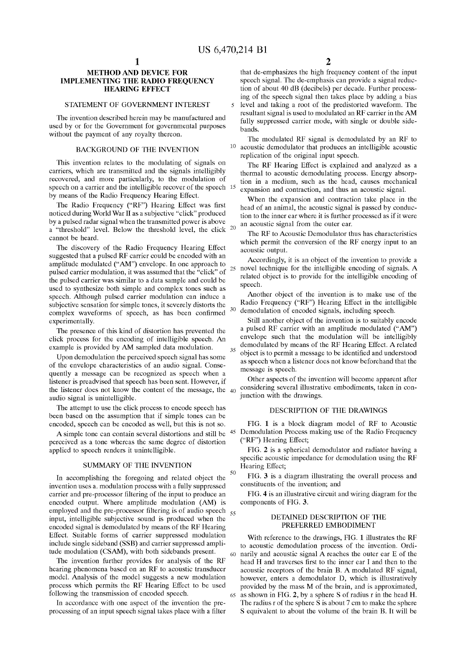5

25

35

30

50

60

65

## METHOD AND DEVICE FOR IMPLEMENTING THE RADIO FREQUENCY **HEARING EFFECT**

#### STATEMENT OF GOVERNMENT INTEREST

The invention described herein may be manufactured and used by or for the Government for governmental purposes without the payment of any royalty thereon.

#### BACKGROUND OF THE INVENTION

This invention relates to the modulating of signals on carriers, which are transmitted and the Signals intelligibly recovered, and more particularly, to the modulation of speech on a carrier and the intelligible recover of the speech 15 by means of the Radio Frequency Hearing Effect.

The Radio Frequency ("RF") Hearing Effect was first noticed during World War II as a subjective "click" produced by a pulsed radar signal when the transmitted power is above a "threshold" level. Below the threshold level, the click  $20$ cannot be heard.

The discovery of the Radio Frequency Hearing Effect suggested that a pulsed RF carrier could be encoded with an amplitude modulated ("AM") envelope. In one approach to pulsed carrier modulation, it was assumed that the "click" of the pulsed carrier was similar to a data Sample and could be used to synthesize both simple and complex tones such as speech. Although pulsed carrier modulation can induce a subjective sensation for simple tones, it severely distorts the complex waveforms of speech, as has been confirmed experimentally.

The presence of this kind of distortion has prevented the click process for the encoding of intelligible speech. An example is provided by AM Sampled data modulation.

Upon demodulation the perceived speech Signal has Some of the envelope characteristics of an audio signal. Conse quently a message can be recognized as speech when a listener is preadvised that speech has been sent. However, if the listener does not know the content of the message, the 40 audio signal is unintelligible.

The attempt to use the click process to encode speech has been based on the assumption that if simple tones can be encoded, speech can be encoded as well, but this is not so.

perceived as a tone whereas the Same degree of distortion applied to speech renders it unintelligible.

#### SUMMARY OF THE INVENTION

In accomplishing the foregoing and related object the invention uses a. modulation process with a fully suppressed carrier and pre-processor filtering of the input to produce an encoded output. Where amplitude modulation (AM) is employed and the pre-processor filtering is of audio speech  $_{55}$ input, intelligible Subjective Sound is produced when the encoded signal is demodulated by means of the RF Hearing Effect. Suitable forms of carrier Suppressed modulation include single sideband (SSB) and carrier suppressed amplitude modulation (CSAM), with both sidebands present.

The invention further provides for analysis of the RF hearing phenomena based on an RF to acoustic transducer model. Analysis of the model Suggests a new modulation process which permits the RF Hearing Effect to be used following the transmission of encoded speech.<br>In accordance with one aspect of the invention the pre-

processing of an input speech signal takes place with a filter

that de-emphasizes the high frequency content of the input speech signal. The de-emphasis can provide a signal reduction of about 40 dB (decibels) per decade. Further process ing of the Speech Signal then takes place by adding a bias level and taking a root of the predistorted waveform. The

resultant signal is used to modulated an RF carrier in the AM fully suppressed carrier mode, with single or double sidebands.

The modulated RF signal is demodulated by an RF to  $10$  acoustic demodulator that produces an intelligible acoustic replication of the original input speech.

The RF Hearing Effect is explained and analyzed as a thermal to acoustic demodulating process. Energy absorp tion in a medium, Such as the head, causes mechanical expansion and contraction, and thus an acoustic signal.

When the expansion and contraction take place in the head of an animal, the acoustic signal is passed by conduction to the inner ear where it is further processed as if it were an acoustic signal from the outer ear.

The RF to Acoustic Demodulator thus has characteristics which permit the conversion of the RF energy input to an acoustic output.

Accordingly, it is an object of the invention to provide a novel technique for the intelligible encoding of signals. A related object is to provide for the intelligible encoding of speech.

Another object of the invention is to make use of the Radio Frequency ("RF") Hearing Effect in the intelligible demodulation of encoded signals, including speech.

Still another object of the invention is to suitably encode a pulsed RF carrier with an amplitude modulated ("AM") envelope such that the modulation will be intelligibly demodulated by means of the RF Hearing Effect. A related object is to permit a message to be identified and understood as Speech when a listener does not know beforehand that the message is speech.

Other aspects of the invention will become apparent after considering several illustrative embodiments, taken in conjunction with the drawings.

#### DESCRIPTION OF THE DRAWINGS

A simple tone can contain several distortions and still be  $45$  Demodulation Process making use of the Radio Frequency FIG. 1 is a block diagram model of RF to Acoustic ("RF") Hearing Effect;

> FIG. 2 is a spherical demodulator and radiator having a specific acoustic impedance for demodulation using the RF Hearing Effect;

> FIG. 3 is a diagram illustrating the overall process and constituents of the invention; and

> FIG. 4 is an illustrative circuit and wiring diagram for the components of FIG. 3.

#### DETAINED DESCRIPTION OF THE PREFERRED EMBODIMENT

With reference to the drawings, FIG. 1 illustrates the RF to acoustic demodulation process of the invention. Ordi narily and acoustic signal A reaches the outer ear E of the head H and traverses first to the inner ear I and then to the acoustic receptors of the brain B. A modulated RF signal, provided by the mass M of the brain, and is approximated, as shown in FIG. 2, by a sphere S of radius r in the head H. The radius r of the sphere S is about 7 cm to make the sphere S equivalent to about the volume of the brain B. It will be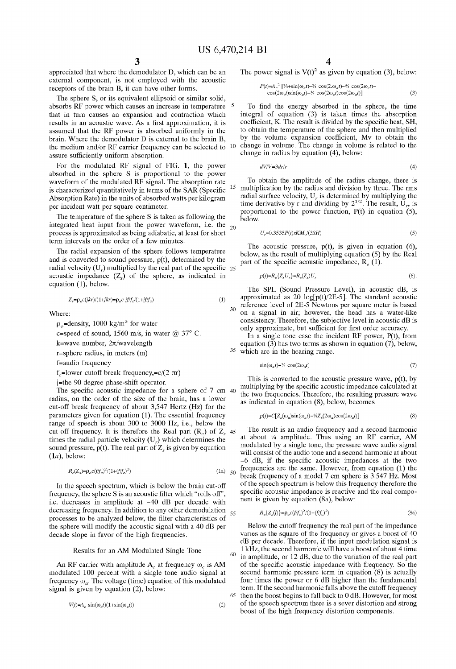15

60

appreciated that where the demodulator D, which can be an external component, is not employed with the acoustic receptors of the brain B, it can have other forms.

The sphere S, or its equivalent ellipsoid or similar solid, absorbs RF power which causes an increase in temperature <sup>5</sup> that in turn causes an expansion and contraction which results in an acoustic wave. As a first approximation, it is assumed that the RF power is absorbed uniformly in the brain. Where the demodulator D is external to the brain B. brain. Where the demodulator D is external to the brain B, the medium and/or RF carrier frequency can be selected to  $10$  change in volume. The change in volume is related to the assure sufficiently uniform absorption.

For the modulated RF signal of FIG. 1, the power absorbed in the sphere S is proportional to the power waveform of the modulated RF signal. The absorption rate<br>is characterized quantitatively in terms of the SAR (Specific Absorption Rate) in the units of absorbed watts per kilogram per incident watt per Square centimeter.

The temperature of the sphere S is taken as following the integrated heat input from the power waveform, i.e. the  $_{20}$ process is approximated as being adiabatic, at least for short term intervals on the order of a few minutes.

The radial expansion of the Sphere follows temperature and is converted to sound pressure,  $p(t)$ , determined by the acoustic impedance  $(Z<sub>s</sub>)$  of the sphere, as indicated in equation (1), below. radial velocity (U<sub>r</sub>) multiplied by the real part of the specific  $25$ 

$$
Z_s = \rho_o c(jkr)/(1+jkr) = \rho_o c \; jf/f_c/(1+jf/f_c) \tag{1}
$$

Where:

 $p_e$ =density, 1000 kg/m<sup>3</sup> for water

c=speed of sound, 1560 m/s, in water  $@ 37^{\circ}$  C.

k=wave number,  $2\pi$ /wavelength

r=Sphere radius, in meters (m)

f=audio frequency

f<sub>-</sub>=lower cutoff break frequency, = $c/(2 \pi r)$ 

j=the 90 degree phase-shift operator.

The Specific acoustic impedance for a sphere of 7 cm 40 radius, on the order of the size of the brain, has a lower cut-off break frequency of about 3,547 Hertz (Hz) for the parameters given for equation (1). The essential frequency range of speech is about 300 to 3000 Hz, i.e., below the cut-off frequency. It is therefore the Real part  $(R_c)$  of  $Z_s$  45 times the radial particle velocity (U) which determines the sound pressure,  $p(t)$ . The real part of  $Z<sub>s</sub>$  is given by equation  $(1a)$ , below:

$$
R_e(Z_s) = \rho_o c (f/f_c)^2 / (1 + (f/f_c)^2)
$$
\n(1a) 50

In the speech spectrum, which is below the brain cut-off frequency, the sphere S is an acoustic filter which "rolls off", i.e. decreases in amplitude at -40 dB per decade with  $\alpha$  decreasing frequency. In addition to any other demodulation  $\frac{55}{100}$ processes to be analyzed below, the filter characteristics of the sphere will modify the acoustic signal with a 40 dB per decade slope in favor of the high frequencies.

#### Results for an AM Modulated Single Tone

An RF carrier with amplitude  $A_c$  at frequency  $\omega_c$  is AM modulated 100 percent with a single tone audio signal at frequency  $\omega_a$ . The voltage (time) equation of this modulated signal is given by equation  $(2)$ , below:

$$
V(t) = A_c \sin(\omega_c t) (1 + \sin(\omega_a t))
$$
\n<sup>(2)</sup>

The power signal is  $V(t)^2$  as given by equation (3), below:

$$
P(t) = A_c^2 \left[ \frac{3}{4} + \sin(\omega_a t) - \frac{1}{4} \cos(2\omega_a t) - \frac{3}{4} \cos(2\omega_c t) - \cos(2\omega_c t) \sin(\omega_a t) + \frac{1}{4} \cos(2\omega_c t) \cos(2\omega_a t) \right]
$$
(3)

To find the energy absorbed in the sphere, the time coefficient, K. The result is divided by the specific heat, SH, to obtain the temperature of the Sphere and then multiplied by the volume expansion coefficient, Mv to obtain the change in radius by equation (4), below:

$$
dV/V = 3dr/r \tag{4}
$$

To obtain the amplitude of the radius change, there is multiplication by the radius and division by three. The rms radial surface velocity,  $U_r$  is determined by multiplying the time derivative by r and dividing by  $2^{1/2}$ . The result,  $\overline{U}_r$ , is proportional to the power function, P(t) in equation (5), below.

$$
U_r = 0.3535P(t)rKM_v/(3SH)
$$
\n(5)

The acoustic pressure,  $p(t)$ , is given in equation (6), below, as the result of multiplying equation (5) by the Real part of the specific acoustic impedance,  $R_e(1)$ .

$$
p(t)=R_e\{Z_sU_r\}=R_e(Z_s)U_r\tag{6}.
$$

The SPL (Sound Pressure Level), in acoustic dB, is approximated as 20 log[ $p(t)/2E-5$ ]. The standard acoustic reference level of 2E-5 Newtons per square meter is based on a signal in air; however, the head has a water-like consistency. Therefore, the subjective level in acoustic dB is only approximate, but Sufficient for first order accuracy.

equation (3) has two terms as shown in equation (7), below, which are in the hearing range. In a single tone case the incident RF power,  $P(t)$ , from equation (3) has two terms as shown in equation (7), below,

$$
\sin(\omega_a t) - \frac{1}{4} \cos(2\omega_a t) \tag{7}
$$

This is converted to the acoustic pressure wave, p(t), by multiplying by the Specific acoustic impedance calculated at the two frequencies. Therefore, the resulting pressure wave as indicated in equation (8), below, becomes

$$
p(t) = C[Z_s(\omega_a)\sin(\omega_a t) - \frac{1}{4}Z_s(2\omega_a)\cos(2\omega_a t)]
$$
\n(8)

The result is an audio frequency and a second harmonic at about  $\frac{1}{4}$  amplitude. Thus using an RF carrier, AM modulated by a single tone, the pressure wave audio signal will consist of the audio tone and a second harmonic at about -6 dB, if the Specific acoustic impedances at the two frequencies are the same. However, from equation (1) the break frequency of a model 7 cm sphere is 3.547 Hz. Most of the Speech spectrum is below this frequency therefore the specific acoustic impedance is reactive and the real component is given by equation (8a), below:

$$
R_e\{Z_s(f)\} = \rho_o c(f/f_c)^2 / (1 + (f/f_c)^2)
$$
\n(8a)

65 then the boost begins to fall back to 0 dB. However, for most Below the cutoff frequency the real part of the impedance varies as the Square of the frequency or gives a boost of 40 dB per decade. Therefore, if the input modulation signal is 1 kHz, the second harmonic will have a boost of about 4 time in amplitude, or 12 dB, due to the variation of the real part of the specific acoustic impedance with frequency. So the second harmonic pressure term in equation (8) is actually four times the power or 6 dB higher than the fundamental term. If the second harmonic falls above the cutoff frequency of the Speech spectrum there is a Sever distortion and Strong boost of the high frequency distortion components.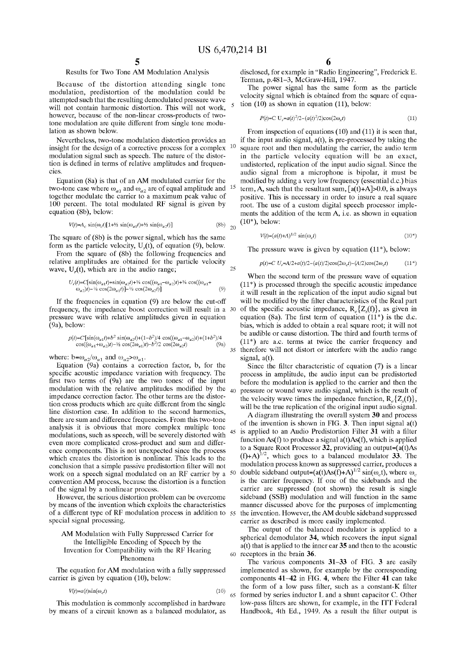$\leq$ 

25

 $20$ 

45

50

65

## Results for Two Tone AM Modulation Analysis

Because of the distortion attending single tone modulation, predistortion of the modulation could be attempted Such that the resulting demodulated pressure wave will not contain harmonic distortion. This will not work, however, because of the non-linear cross-products of two tone modulation are quite different from Single tone modu lation as shown below.

Nevertheless, two-tone modulation distortion provides an exist for the decision of a corrective process for a complex  $10$ insight for the design of a corrective process for a complex modulation signal such as speech. The nature of the distortion is defined in terms of relative amplitudes and frequencies.

Equation (8a) is that of an AM modulated carrier for the two-tone case where  $\omega_{a1}$  and  $\omega_{a2}$  are of equal amplitude and <sup>15</sup> together modulate the carrier to a maximum peak value of 100 percent. The total modulated RF signal is given by equation (8b), below:

$$
V(t) = A_c \sin(\omega_c t) \left[ 1 + \frac{1}{2} \sin(\omega_{a1} t) + \frac{1}{2} \sin(\omega_{a2} t) \right] \tag{8b}
$$

The square of (8b) is the power signal, which has the same form as the particle velocity,  $U_r(t)$ , of equation (9), below.

From the square of (8b) the following frequencies and relative amplitudes are obtained for the particle Velocity wave,  $U_r(t)$ , which are in the audio range;

$$
U_r(t) = C[\sin(\omega_{a1}t) + \sin(\omega_{a2}t) + \frac{1}{4}\cos((\omega_{a1} - \omega_{a2})t) + \frac{1}{4}\cos((\omega_{a1} + \omega_{a2}t)t) - \frac{1}{8}\cos(2\omega_{a1}t)] - \frac{1}{8}\cos(2\omega_{a2}t)]
$$
(9)

If the frequencies in equation (9) are below the cut-off frequency, the impedance boost correction will result in a preSSure wave with relative amplitudes given in equation (9a), below:

$$
p(t) = C^{\dagger}[\sin(\omega_{a1}t) + b^2 \sin(\omega_{a2}t) + (1 - b^2)/4 \cos((\omega_{a1} - \omega_{a2})t) + (1 + b^2)/4 \cos((\omega_{a1} + \omega_{a2})t) - \frac{1}{2} \cos(2\omega_{a1}t) - b^2/2 \cos(2\omega_{a2}t) \tag{9a}
$$

where:  $b=\omega_{a2}/\omega_{a1}$  and  $\omega_{a2}>\omega_{a1}$ .<br>Equation (9a) contains a correction factor, b, for the specific acoustic impedance variation with frequency. The first two terms of (9a) are the two tones: of the input modulation with the relative amplitudes modified by the impedance correction factor. The other terms are the distortion cross products which are quite different from the single line distortion case. In addition to the second harmonics, there are sum and difference frequencies. From this two-tone analysis it is obvious that more complex multiple tone modulations, such as speech, will be severely distorted with even more complicated cross-product and sum and difference components. This is not unexpected since the process which creates the distortion is nonlinear. This leads to the conclusion that a simple passive predistortion filter will not work on a speech signal modulated on an RF carrier by a convention AM process, because the distortion is a function of the signal by a nonlinear process.

However, the serious distortion problem can be overcome by means of the invention which exploits the characteristics of a different type of RF modulation process in addition to 55<br>special signal processing.

#### AM Modulation with Fully Suppressed Carrier for the Intelligible Encoding of Speech by the Invention for Compatibility with the RF Hearing Phenomena

The equation for AM modulation with a fully suppressed carrier is given by equation (10), below:

$$
V(t) = a(t)\sin(\omega_c t) \tag{10}
$$

This modulation is commonly accomplished in hardware by means of a circuit known as a balanced modulator, as disclosed, for example in "Radio Engineering", Frederick E. Terman, p.481–3, McGraw-Hill, 1947.<br>The power signal has the same form as the particle

velocity signal which is obtained from the square of equation (10) as shown in equation (11), below:

$$
P(t) = C U_r = a(t)^2 / 2 - (a(t)^2 / 2) \cos(2\omega_x t)
$$
\n(11)

From inspection of equations (10) and (11) it is seen that, if the input audio signal,  $a(t)$ , is pre-processed by taking the square root and then modulating the carrier, the audio term in the particle Velocity equation will be an exact, undistorted, replication of the input audio signal. Since the audio signal from a microphone is bipolar, it must be modified by adding a very low frequency (essential d.c.) bias term, A, such that the resultant sum,  $[a(t)+A]>0.0$ , is always positive. This is necessary in order to insure a real square root. The use of a custom digital speech processor implements the addition of the term A, i.e. as shown in equation  $(10^*)$ , below:

$$
V(t) = (a(t) + A)^{1/2} \sin(\omega_c t) \tag{10*}
$$

The pressure wave is given by equation  $(11^*)$ , below:

#### $p(t)=C U_r = A/2 + a(t)/2 - (a(t)/2)\cos(2\omega_c t) - (A/2)\cos(2\omega_c t)$  $(11*)$

35 therefore will not distort or interfere with the audio range Signal, a(t). When the second term of the pressure wave of equation  $(11^*)$  is processed through the specific acoustic impedance it will result in the replication of the input audio signal but will be modified by the filter characteris of the specific acoustic impedance,  $R_e\{Z_s(f)\}\)$ , as given in equation (8a). The first term of equation  $(11^*)$  is the d.c. bias, which is added to obtain a real Square root; it will not be audible or cause distortion. The third and fourth terms of  $(11^*)$  are a.c. terms at twice the carrier frequency and

40 Since the filter characteristic of equation (7) is a linear process in amplitude, the audio input can be predistorted before the modulation is applied to the carrier and then the pressure or wound wave audio signal, which is the result of the velocity wave times the impedance function,  $R_2\{Z_{\alpha}(f)\}\,$ , will be the true replication of the original input audio signal.

A diagram illustrating the overall system 30 and process of the invention is shown in FIG. 3. Then input signal  $a(t)$ is applied to an Audio Predistortion Filter 31 with a filter function As(f) to produce a signal a(t)As(f), which is applied<br>to a Square Root Processor 32, providing an output=( $a(t)$ As  $(f)+A$ <sup>1/2</sup>, which goes to a balanced modulator 33. The modulation process known as Suppressed carrier, produces a double sideband output=(a(t)As(f)+A)<sup>1/2</sup> sin( $\omega_c$ t), where  $\omega_c$ is the carrier frequency. If one of the Sidebands and the carrier are suppressed (not shown) the result is single sideband (SSB) modulation and will function in the same manner discussed above for the purposes of implementing the invention. However, the AM double sideband suppressed carrier as described is more easily implemented.

60 receptors in the brain 36. The output of the balanced modulator is applied to a spherical demodulator 34, which recovers the input signal a(t) that is applied to the inner ear 35 and then to the acoustic

The various components 31-33 of FIG. 3 are easily implemented as shown, for example by the corresponding components 41-42 in FIG. 4, where the Filter 41 can take the form of a low pass filter, Such as a constant-K filter formed by series inductor L and a shunt capacitor C. Other low-pass filters are shown, for example, in the ITT Federal Handbook, 4th Ed., 1949. As a result the filter output is